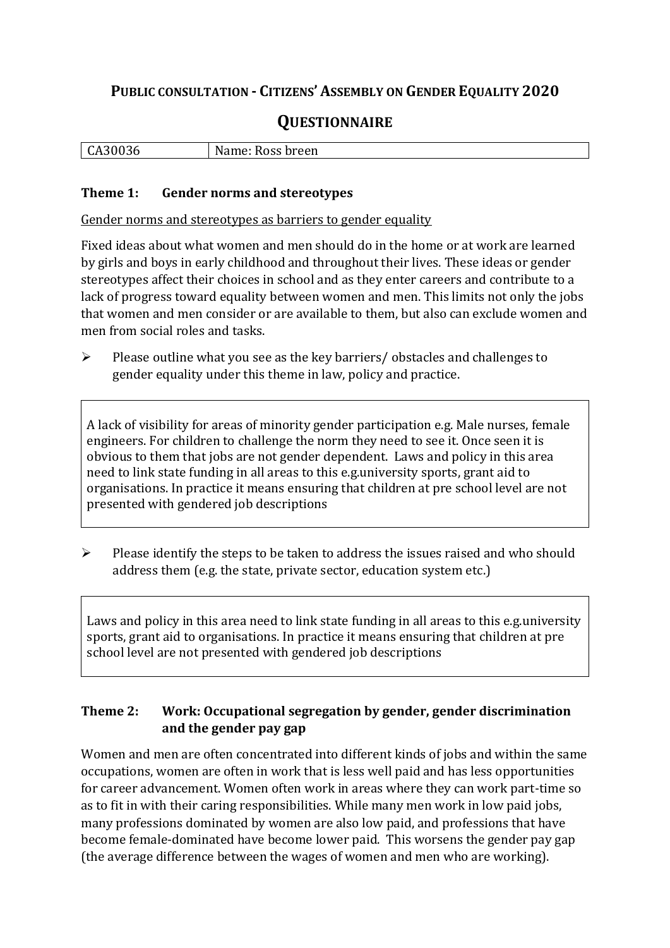# **PUBLIC CONSULTATION - CITIZENS' ASSEMBLY ON GENDER EQUALITY 2020**

# **QUESTIONNAIRE**

| .<br>$\mathbf{r}$<br><b>LA3UU30</b> | N⊴<br>breen<br>Ross<br>vame: |
|-------------------------------------|------------------------------|
|                                     |                              |

#### **Theme 1: Gender norms and stereotypes**

Gender norms and stereotypes as barriers to gender equality

Fixed ideas about what women and men should do in the home or at work are learned by girls and boys in early childhood and throughout their lives. These ideas or gender stereotypes affect their choices in school and as they enter careers and contribute to a lack of progress toward equality between women and men. This limits not only the jobs that women and men consider or are available to them, but also can exclude women and men from social roles and tasks.

➢ Please outline what you see as the key barriers/ obstacles and challenges to gender equality under this theme in law, policy and practice.

A lack of visibility for areas of minority gender participation e.g. Male nurses, female engineers. For children to challenge the norm they need to see it. Once seen it is obvious to them that jobs are not gender dependent. Laws and policy in this area need to link state funding in all areas to this e.g.university sports, grant aid to organisations. In practice it means ensuring that children at pre school level are not presented with gendered job descriptions

➢ Please identify the steps to be taken to address the issues raised and who should address them (e.g. the state, private sector, education system etc.)

Laws and policy in this area need to link state funding in all areas to this e.g.university sports, grant aid to organisations. In practice it means ensuring that children at pre school level are not presented with gendered job descriptions

### **Theme 2: Work: Occupational segregation by gender, gender discrimination and the gender pay gap**

Women and men are often concentrated into different kinds of jobs and within the same occupations, women are often in work that is less well paid and has less opportunities for career advancement. Women often work in areas where they can work part-time so as to fit in with their caring responsibilities. While many men work in low paid jobs, many professions dominated by women are also low paid, and professions that have become female-dominated have become lower paid. This worsens the gender pay gap (the average difference between the wages of women and men who are working).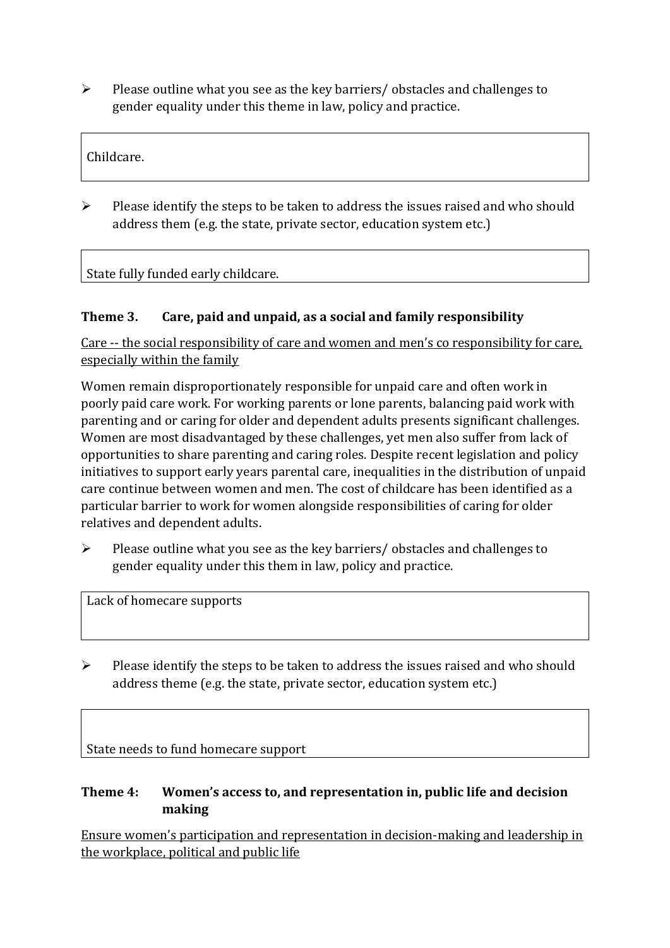➢ Please outline what you see as the key barriers/ obstacles and challenges to gender equality under this theme in law, policy and practice.

Childcare.

➢ Please identify the steps to be taken to address the issues raised and who should address them (e.g. the state, private sector, education system etc.)

State fully funded early childcare.

### **Theme 3. Care, paid and unpaid, as a social and family responsibility**

Care -- the social responsibility of care and women and men's co responsibility for care, especially within the family

Women remain disproportionately responsible for unpaid care and often work in poorly paid care work. For working parents or [lone parents,](https://aran.library.nuigalway.ie/bitstream/handle/10379/6044/Millar_and_Crosse_Activation_Report.pdf?sequence=1&isAllowed=y) balancing paid work with parenting and or caring for older and dependent adults presents significant challenges. Women are [most disadvantaged by](https://eige.europa.eu/gender-equality-index/game/IE/W) these challenges, yet men also suffer from lack of opportunities to share parenting and caring roles. Despite recent legislation and policy initiatives to support early years parental care, [inequalities in the distribution of unpaid](https://www.ihrec.ie/app/uploads/2019/07/Caring-and-Unpaid-Work-in-Ireland_Final.pdf)  [care](https://www.ihrec.ie/app/uploads/2019/07/Caring-and-Unpaid-Work-in-Ireland_Final.pdf) continue between women and men. The cost of childcare has been identified as a particular barrier to work for women alongside responsibilities of caring for older relatives and dependent adults.

➢ Please outline what you see as the key barriers/ obstacles and challenges to gender equality under this them in law, policy and practice.

Lack of homecare supports

➢ Please identify the steps to be taken to address the issues raised and who should address theme (e.g. the state, private sector, education system etc.)

State needs to fund homecare support

#### **Theme 4: Women's access to, and representation in, public life and decision making**

Ensure women's participation and representation in decision-making and leadership in the workplace, political and public life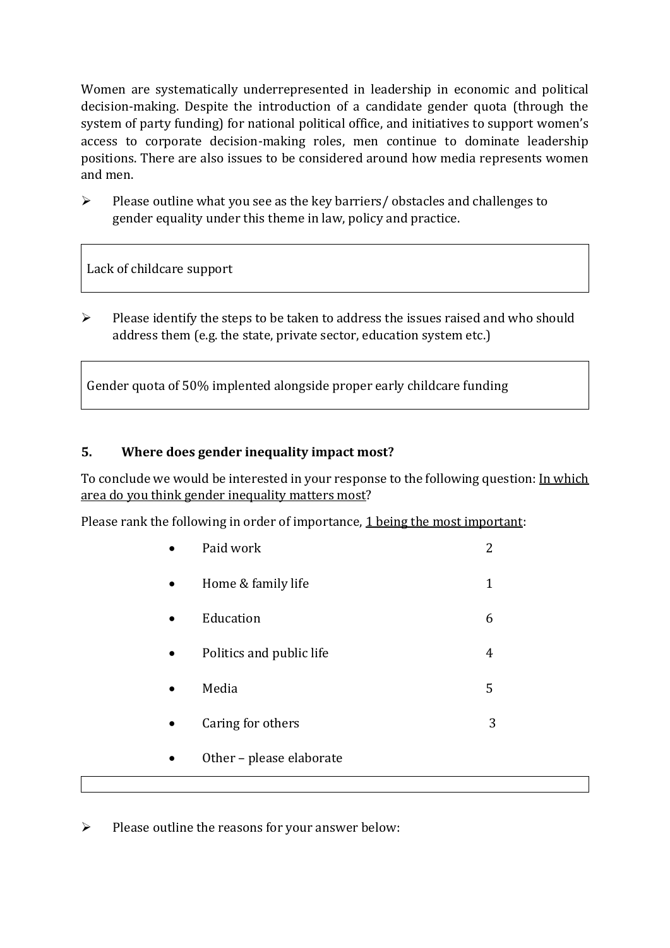Women are systematically underrepresented in leadership in [economic](https://eige.europa.eu/gender-equality-index/2019/compare-countries/power/2/bar) and [political](https://eige.europa.eu/gender-equality-index/2019/compare-countries/power/1/bar)  [decision-](https://eige.europa.eu/gender-equality-index/2019/compare-countries/power/1/bar)making. Despite the introduction of a candidate gender quota (through the system of party funding) for national political office, and [initiatives](https://betterbalance.ie/) to support women's access to corporate decision-making roles, men continue to dominate leadership positions. There are also issues to be considered around how media represents women and men.

➢ Please outline what you see as the key barriers/ obstacles and challenges to gender equality under this theme in law, policy and practice.

Lack of childcare support

 $\triangleright$  Please identify the steps to be taken to address the issues raised and who should address them (e.g. the state, private sector, education system etc.)

Gender quota of 50% implented alongside proper early childcare funding

### **5. Where does gender inequality impact most?**

To conclude we would be interested in your response to the following question: In which area do you think gender inequality matters most?

Please rank the following in order of importance, 1 being the most important:

|  | Paid work                | 2 |
|--|--------------------------|---|
|  | Home & family life       | 1 |
|  | Education                | 6 |
|  | Politics and public life | 4 |
|  | Media                    | 5 |
|  | Caring for others        | 3 |
|  | Other - please elaborate |   |
|  |                          |   |

➢ Please outline the reasons for your answer below: